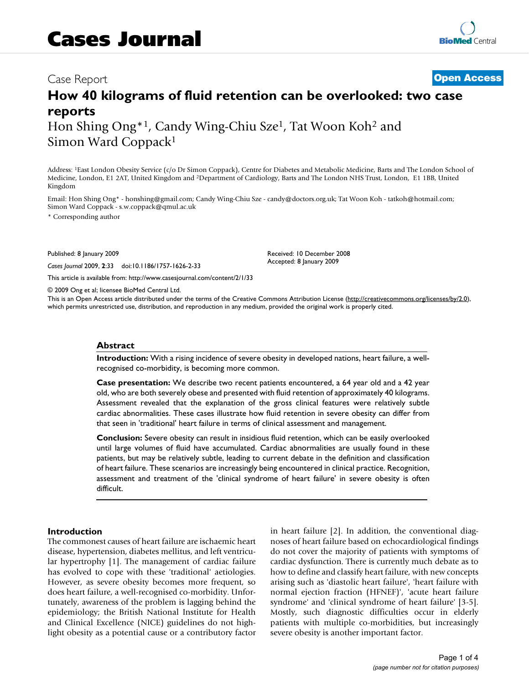# Case Report **[Open Access](http://www.biomedcentral.com/info/about/charter/)**

# **How 40 kilograms of fluid retention can be overlooked: two case reports**

Hon Shing Ong<sup>\*1</sup>, Candy Wing-Chiu Sze<sup>1</sup>, Tat Woon Koh<sup>2</sup> and Simon Ward Coppack1

Address: 1East London Obesity Service (c/o Dr Simon Coppack), Centre for Diabetes and Metabolic Medicine, Barts and The London School of Medicine, London, E1 2AT, United Kingdom and 2Department of Cardiology, Barts and The London NHS Trust, London, E1 1BB, United Kingdom

Email: Hon Shing Ong\* - honshing@gmail.com; Candy Wing-Chiu Sze - candy@doctors.org.uk; Tat Woon Koh - tatkoh@hotmail.com; Simon Ward Coppack - s.w.coppack@qmul.ac.uk

\* Corresponding author

Published: 8 January 2009

*Cases Journal* 2009, **2**:33 doi:10.1186/1757-1626-2-33

[This article is available from: http://www.casesjournal.com/content/2/1/33](http://www.casesjournal.com/content/2/1/33)

© 2009 Ong et al; licensee BioMed Central Ltd.

This is an Open Access article distributed under the terms of the Creative Commons Attribution License [\(http://creativecommons.org/licenses/by/2.0\)](http://creativecommons.org/licenses/by/2.0), which permits unrestricted use, distribution, and reproduction in any medium, provided the original work is properly cited.

Received: 10 December 2008 Accepted: 8 January 2009

#### **Abstract**

**Introduction:** With a rising incidence of severe obesity in developed nations, heart failure, a wellrecognised co-morbidity, is becoming more common.

**Case presentation:** We describe two recent patients encountered, a 64 year old and a 42 year old, who are both severely obese and presented with fluid retention of approximately 40 kilograms. Assessment revealed that the explanation of the gross clinical features were relatively subtle cardiac abnormalities. These cases illustrate how fluid retention in severe obesity can differ from that seen in 'traditional' heart failure in terms of clinical assessment and management.

**Conclusion:** Severe obesity can result in insidious fluid retention, which can be easily overlooked until large volumes of fluid have accumulated. Cardiac abnormalities are usually found in these patients, but may be relatively subtle, leading to current debate in the definition and classification of heart failure. These scenarios are increasingly being encountered in clinical practice. Recognition, assessment and treatment of the 'clinical syndrome of heart failure' in severe obesity is often difficult.

#### **Introduction**

The commonest causes of heart failure are ischaemic heart disease, hypertension, diabetes mellitus, and left ventricular hypertrophy [1]. The management of cardiac failure has evolved to cope with these 'traditional' aetiologies. However, as severe obesity becomes more frequent, so does heart failure, a well-recognised co-morbidity. Unfortunately, awareness of the problem is lagging behind the epidemiology; the British National Institute for Health and Clinical Excellence (NICE) guidelines do not highlight obesity as a potential cause or a contributory factor in heart failure [2]. In addition, the conventional diagnoses of heart failure based on echocardiological findings do not cover the majority of patients with symptoms of cardiac dysfunction. There is currently much debate as to how to define and classify heart failure, with new concepts arising such as 'diastolic heart failure', 'heart failure with normal ejection fraction (HFNEF)', 'acute heart failure syndrome' and 'clinical syndrome of heart failure' [3-5]. Mostly, such diagnostic difficulties occur in elderly patients with multiple co-morbidities, but increasingly severe obesity is another important factor.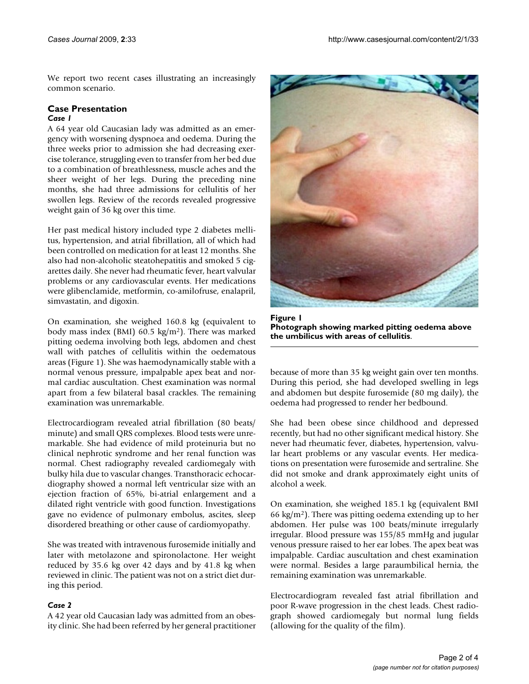We report two recent cases illustrating an increasingly common scenario.

## **Case Presentation**

## *Case 1*

A 64 year old Caucasian lady was admitted as an emergency with worsening dyspnoea and oedema. During the three weeks prior to admission she had decreasing exercise tolerance, struggling even to transfer from her bed due to a combination of breathlessness, muscle aches and the sheer weight of her legs. During the preceding nine months, she had three admissions for cellulitis of her swollen legs. Review of the records revealed progressive weight gain of 36 kg over this time.

Her past medical history included type 2 diabetes mellitus, hypertension, and atrial fibrillation, all of which had been controlled on medication for at least 12 months. She also had non-alcoholic steatohepatitis and smoked 5 cigarettes daily. She never had rheumatic fever, heart valvular problems or any cardiovascular events. Her medications were glibenclamide, metformin, co-amilofruse, enalapril, simvastatin, and digoxin.

On examination, she weighed 160.8 kg (equivalent to body mass index (BMI) 60.5 kg/m2). There was marked pitting oedema involving both legs, abdomen and chest wall with patches of cellulitis within the oedematous areas (Figure 1). She was haemodynamically stable with a normal venous pressure, impalpable apex beat and normal cardiac auscultation. Chest examination was normal apart from a few bilateral basal crackles. The remaining examination was unremarkable.

Electrocardiogram revealed atrial fibrillation (80 beats/ minute) and small QRS complexes. Blood tests were unremarkable. She had evidence of mild proteinuria but no clinical nephrotic syndrome and her renal function was normal. Chest radiography revealed cardiomegaly with bulky hila due to vascular changes. Transthoracic echocardiography showed a normal left ventricular size with an ejection fraction of 65%, bi-atrial enlargement and a dilated right ventricle with good function. Investigations gave no evidence of pulmonary embolus, ascites, sleep disordered breathing or other cause of cardiomyopathy.

She was treated with intravenous furosemide initially and later with metolazone and spironolactone. Her weight reduced by 35.6 kg over 42 days and by 41.8 kg when reviewed in clinic. The patient was not on a strict diet during this period.

## *Case 2*

A 42 year old Caucasian lady was admitted from an obesity clinic. She had been referred by her general practitioner



**Figure 1 Photograph showing marked pitting oedema above the umbilicus with areas of cellulitis**.

because of more than 35 kg weight gain over ten months. During this period, she had developed swelling in legs and abdomen but despite furosemide (80 mg daily), the oedema had progressed to render her bedbound.

She had been obese since childhood and depressed recently, but had no other significant medical history. She never had rheumatic fever, diabetes, hypertension, valvular heart problems or any vascular events. Her medications on presentation were furosemide and sertraline. She did not smoke and drank approximately eight units of alcohol a week.

On examination, she weighed 185.1 kg (equivalent BMI 66 kg/m<sup>2</sup>). There was pitting oedema extending up to her abdomen. Her pulse was 100 beats/minute irregularly irregular. Blood pressure was 155/85 mmHg and jugular venous pressure raised to her ear lobes. The apex beat was impalpable. Cardiac auscultation and chest examination were normal. Besides a large paraumbilical hernia, the remaining examination was unremarkable.

Electrocardiogram revealed fast atrial fibrillation and poor R-wave progression in the chest leads. Chest radiograph showed cardiomegaly but normal lung fields (allowing for the quality of the film).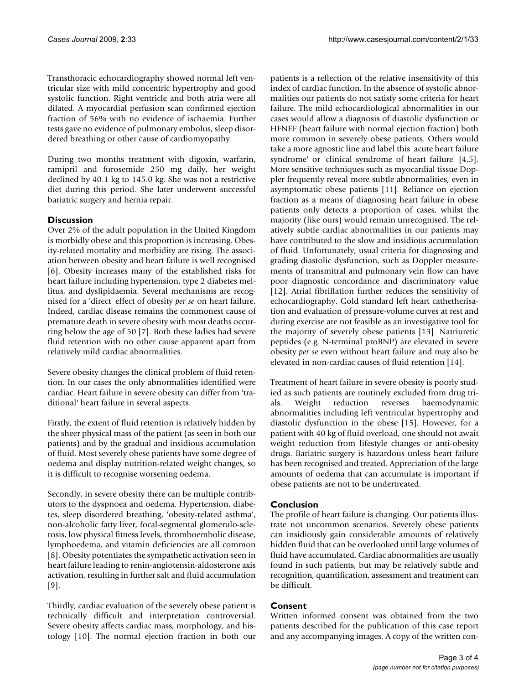Transthoracic echocardiography showed normal left ventricular size with mild concentric hypertrophy and good systolic function. Right ventricle and both atria were all dilated. A myocardial perfusion scan confirmed ejection fraction of 56% with no evidence of ischaemia. Further tests gave no evidence of pulmonary embolus, sleep disordered breathing or other cause of cardiomyopathy.

During two months treatment with digoxin, warfarin, ramipril and furosemide 250 mg daily, her weight declined by 40.1 kg to 145.0 kg. She was not a restrictive diet during this period. She later underwent successful bariatric surgery and hernia repair.

## **Discussion**

Over 2% of the adult population in the United Kingdom is morbidly obese and this proportion is increasing. Obesity-related mortality and morbidity are rising. The association between obesity and heart failure is well recognised [6]. Obesity increases many of the established risks for heart failure including hypertension, type 2 diabetes mellitus, and dyslipidaemia. Several mechanisms are recognised for a 'direct' effect of obesity *per se* on heart failure. Indeed, cardiac disease remains the commonest cause of premature death in severe obesity with most deaths occurring below the age of 50 [7]. Both these ladies had severe fluid retention with no other cause apparent apart from relatively mild cardiac abnormalities.

Severe obesity changes the clinical problem of fluid retention. In our cases the only abnormalities identified were cardiac. Heart failure in severe obesity can differ from 'traditional' heart failure in several aspects.

Firstly, the extent of fluid retention is relatively hidden by the sheer physical mass of the patient (as seen in both our patients) and by the gradual and insidious accumulation of fluid. Most severely obese patients have some degree of oedema and display nutrition-related weight changes, so it is difficult to recognise worsening oedema.

Secondly, in severe obesity there can be multiple contributors to the dyspnoea and oedema. Hypertension, diabetes, sleep disordered breathing, 'obesity-related asthma', non-alcoholic fatty liver, focal-segmental glomerulo-sclerosis, low physical fitness levels, thromboembolic disease, lymphoedema, and vitamin deficiencies are all common [8]. Obesity potentiates the sympathetic activation seen in heart failure leading to renin-angiotensin-aldosterone axis activation, resulting in further salt and fluid accumulation [9].

Thirdly, cardiac evaluation of the severely obese patient is technically difficult and interpretation controversial. Severe obesity affects cardiac mass, morphology, and histology [10]. The normal ejection fraction in both our patients is a reflection of the relative insensitivity of this index of cardiac function. In the absence of systolic abnormalities our patients do not satisfy some criteria for heart failure. The mild echocardiological abnormalities in our cases would allow a diagnosis of diastolic dysfunction or HFNEF (heart failure with normal ejection fraction) both more common in severely obese patients. Others would take a more agnostic line and label this 'acute heart failure syndrome' or 'clinical syndrome of heart failure' [4,5]. More sensitive techniques such as myocardial tissue Doppler frequently reveal more subtle abnormalities, even in asymptomatic obese patients [11]. Reliance on ejection fraction as a means of diagnosing heart failure in obese patients only detects a proportion of cases, whilst the majority (like ours) would remain unrecognised. The relatively subtle cardiac abnormalities in our patients may have contributed to the slow and insidious accumulation of fluid. Unfortunately, usual criteria for diagnosing and grading diastolic dysfunction, such as Doppler measurements of transmitral and pulmonary vein flow can have poor diagnostic concordance and discriminatory value [12]. Atrial fibrillation further reduces the sensitivity of echocardiography. Gold standard left heart cathetherisation and evaluation of pressure-volume curves at rest and during exercise are not feasible as an investigative tool for the majority of severely obese patients [13]. Natriuretic peptides (e.g. N-terminal proBNP) are elevated in severe obesity *per se* even without heart failure and may also be elevated in non-cardiac causes of fluid retention [14].

Treatment of heart failure in severe obesity is poorly studied as such patients are routinely excluded from drug trials. Weight reduction reverses haemodynamic abnormalities including left ventricular hypertrophy and diastolic dysfunction in the obese [15]. However, for a patient with 40 kg of fluid overload, one should not await weight reduction from lifestyle changes or anti-obesity drugs. Bariatric surgery is hazardous unless heart failure has been recognised and treated. Appreciation of the large amounts of oedema that can accumulate is important if obese patients are not to be undertreated.

## **Conclusion**

The profile of heart failure is changing. Our patients illustrate not uncommon scenarios. Severely obese patients can insidiously gain considerable amounts of relatively hidden fluid that can be overlooked until large volumes of fluid have accumulated. Cardiac abnormalities are usually found in such patients, but may be relatively subtle and recognition, quantification, assessment and treatment can be difficult.

## **Consent**

Written informed consent was obtained from the two patients described for the publication of this case report and any accompanying images. A copy of the written con